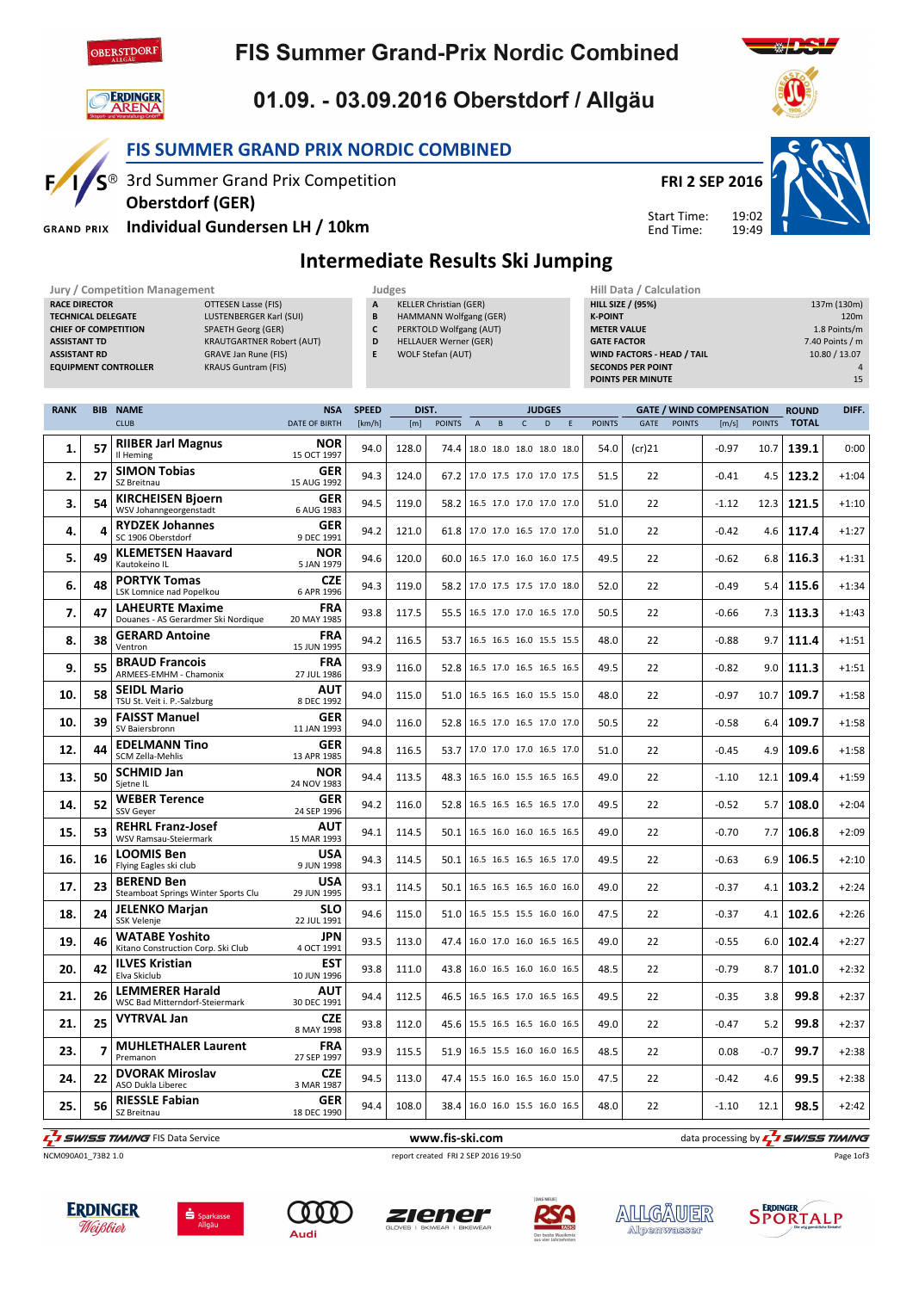

**ERDINGER**<br>**ARENA** 

# **FIS Summer Grand-Prix Nordic Combined**



FIS SUMMER GRAND PRIX NORDIC COMBINED

**1/S**<sup>®</sup> 3rd Summer Grand Prix Competition



19:49

Start Time: End Time:



Individual Gundersen LH / 10km **GRAND PRIX** 

Oberstdorf (GER)

### Intermediate Results Ski Jumping

|                                                                                                                                                                                                                                                                                                                                                      |            | <b>Jury / Competition Management</b>                          |  |                           |                                                                                                                                                                  | Judges |                               |                                 |                          |              |                                                                                                                                                                              |   |               | Hill Data / Calculation |               |                                                                               |                  |              |         |
|------------------------------------------------------------------------------------------------------------------------------------------------------------------------------------------------------------------------------------------------------------------------------------------------------------------------------------------------------|------------|---------------------------------------------------------------|--|---------------------------|------------------------------------------------------------------------------------------------------------------------------------------------------------------|--------|-------------------------------|---------------------------------|--------------------------|--------------|------------------------------------------------------------------------------------------------------------------------------------------------------------------------------|---|---------------|-------------------------|---------------|-------------------------------------------------------------------------------|------------------|--------------|---------|
| <b>RACE DIRECTOR</b><br><b>OTTESEN Lasse (FIS)</b><br><b>TECHNICAL DELEGATE</b><br>LUSTENBERGER Karl (SUI)<br><b>SPAETH Georg (GER)</b><br><b>CHIEF OF COMPETITION</b><br><b>ASSISTANT TD</b><br><b>KRAUTGARTNER Robert (AUT)</b><br><b>ASSISTANT RD</b><br><b>GRAVE Jan Rune (FIS)</b><br><b>KRAUS Guntram (FIS)</b><br><b>EQUIPMENT CONTROLLER</b> |            |                                                               |  |                           | A<br><b>KELLER Christian (GER)</b><br>B<br>HAMMANN Wolfgang (GER)<br>C<br>PERKTOLD Wolfgang (AUT)<br><b>HELLAUER Werner (GER)</b><br>D<br>WOLF Stefan (AUT)<br>E |        |                               |                                 |                          |              | <b>HILL SIZE / (95%)</b><br><b>K-POINT</b><br><b>METER VALUE</b><br><b>GATE FACTOR</b><br>WIND FACTORS - HEAD / TAIL<br><b>SECONDS PER POINT</b><br><b>POINTS PER MINUTE</b> |   |               |                         |               | 137m (130m)<br>120m<br>1.8 Points/m<br>7.40 Points / m<br>10.80 / 13.07<br>15 |                  |              |         |
| <b>RANK</b>                                                                                                                                                                                                                                                                                                                                          | <b>BIB</b> | <b>NAME</b>                                                   |  | <b>NSA</b>                | <b>SPEED</b>                                                                                                                                                     | DIST.  |                               |                                 |                          |              | <b>JUDGES</b>                                                                                                                                                                |   |               |                         |               | <b>GATE / WIND COMPENSATION</b>                                               |                  | <b>ROUND</b> | DIFF.   |
|                                                                                                                                                                                                                                                                                                                                                      |            | <b>CLUB</b>                                                   |  | <b>DATE OF BIRTH</b>      | [km/h]                                                                                                                                                           | [m]    | <b>POINTS</b>                 | $\overline{A}$                  | B                        | $\mathsf{C}$ | D                                                                                                                                                                            | E | <b>POINTS</b> | <b>GATE</b>             | <b>POINTS</b> | [m/s]                                                                         | <b>POINTS</b>    | <b>TOTAL</b> |         |
| 1.                                                                                                                                                                                                                                                                                                                                                   | 57         | <b>RIIBER Jarl Magnus</b><br>Il Heming                        |  | <b>NOR</b><br>15 OCT 1997 | 94.0                                                                                                                                                             | 128.0  | 74.4                          |                                 | 18.0 18.0 18.0 18.0 18.0 |              |                                                                                                                                                                              |   | 54.0          | (cr)21                  |               | $-0.97$                                                                       | 10.7             | 139.1        | 0:00    |
| 2.                                                                                                                                                                                                                                                                                                                                                   | 27         | <b>SIMON Tobias</b><br>SZ Breitnau                            |  | <b>GER</b><br>15 AUG 1992 | 94.3                                                                                                                                                             | 124.0  |                               | 67.2 17.0 17.5 17.0 17.0 17.5   |                          |              |                                                                                                                                                                              |   | 51.5          | 22                      |               | $-0.41$                                                                       | 4.5              | 123.2        | $+1:04$ |
| 3.                                                                                                                                                                                                                                                                                                                                                   | 54         | <b>KIRCHEISEN Bjoern</b><br>WSV Johanngeorgenstadt            |  | <b>GER</b><br>6 AUG 1983  | 94.5                                                                                                                                                             | 119.0  | 58.2                          |                                 | 16.5 17.0 17.0 17.0 17.0 |              |                                                                                                                                                                              |   | 51.0          | 22                      |               | $-1.12$                                                                       | 12.3             | 121.5        | $+1:10$ |
| 4.                                                                                                                                                                                                                                                                                                                                                   | 4          | <b>RYDZEK Johannes</b><br>SC 1906 Oberstdorf                  |  | <b>GER</b><br>9 DEC 1991  | 94.2                                                                                                                                                             | 121.0  | 61.8 17.0 17.0 16.5 17.0 17.0 |                                 |                          |              |                                                                                                                                                                              |   | 51.0          | 22                      |               | $-0.42$                                                                       | 4.6              | 117.4        | $+1:27$ |
| 5.                                                                                                                                                                                                                                                                                                                                                   | 49         | <b>KLEMETSEN Haavard</b><br>Kautokeino IL                     |  | <b>NOR</b><br>5 JAN 1979  | 94.6                                                                                                                                                             | 120.0  | 60.0                          |                                 | 16.5 17.0 16.0 16.0 17.5 |              |                                                                                                                                                                              |   | 49.5          | 22                      |               | $-0.62$                                                                       | 6.8 <sub>1</sub> | 116.3        | $+1:31$ |
| 6.                                                                                                                                                                                                                                                                                                                                                   | 48         | <b>PORTYK Tomas</b><br>LSK Lomnice nad Popelkou               |  | <b>CZE</b><br>6 APR 1996  | 94.3                                                                                                                                                             | 119.0  | 58.2                          |                                 | 17.0 17.5 17.5 17.0 18.0 |              |                                                                                                                                                                              |   | 52.0          | 22                      |               | $-0.49$                                                                       |                  | $5.4$ 115.6  | $+1:34$ |
| 7.                                                                                                                                                                                                                                                                                                                                                   | 47         | <b>LAHEURTE Maxime</b><br>Douanes - AS Gerardmer Ski Nordique |  | <b>FRA</b><br>20 MAY 1985 | 93.8                                                                                                                                                             | 117.5  | 55.5                          |                                 | 16.5 17.0 17.0 16.5 17.0 |              |                                                                                                                                                                              |   | 50.5          | 22                      |               | $-0.66$                                                                       | $7.3\text{ }$    | 113.3        | $+1:43$ |
| 8.                                                                                                                                                                                                                                                                                                                                                   | 38         | <b>GERARD Antoine</b><br>Ventron                              |  | <b>FRA</b><br>15 JUN 1995 | 94.2                                                                                                                                                             | 116.5  | 53.7                          |                                 | 16.5 16.5 16.0 15.5 15.5 |              |                                                                                                                                                                              |   | 48.0          | 22                      |               | $-0.88$                                                                       | 9.7              | 111.4        | $+1:51$ |
| 9.                                                                                                                                                                                                                                                                                                                                                   | 55         | <b>BRAUD Francois</b><br>ARMEES-EMHM - Chamonix               |  | <b>FRA</b><br>27 JUL 1986 | 93.9                                                                                                                                                             | 116.0  | 52.8                          |                                 | 16.5 17.0 16.5 16.5 16.5 |              |                                                                                                                                                                              |   | 49.5          | 22                      |               | $-0.82$                                                                       | 9.0              | 111.3        | $+1:51$ |
| 10.                                                                                                                                                                                                                                                                                                                                                  | 58         | <b>SEIDL Mario</b><br>TSU St. Veit i. P.-Salzburg             |  | <b>AUT</b><br>8 DEC 1992  | 94.0                                                                                                                                                             | 115.0  | 51.0                          |                                 | 16.5 16.5 16.0 15.5 15.0 |              |                                                                                                                                                                              |   | 48.0          | 22                      |               | $-0.97$                                                                       | 10.7             | 109.7        | $+1:58$ |
| 10.                                                                                                                                                                                                                                                                                                                                                  | 39         | <b>FAISST Manuel</b><br>SV Baiersbronn                        |  | <b>GER</b><br>11 JAN 1993 | 94.0                                                                                                                                                             | 116.0  | 52.8                          |                                 | 16.5 17.0 16.5 17.0 17.0 |              |                                                                                                                                                                              |   | 50.5          | 22                      |               | $-0.58$                                                                       | 6.4              | 109.7        | $+1:58$ |
| 12.                                                                                                                                                                                                                                                                                                                                                  | 44         | <b>EDELMANN Tino</b><br>SCM Zella-Mehlis                      |  | <b>GER</b><br>13 APR 1985 | 94.8                                                                                                                                                             | 116.5  | 53.7                          |                                 | 17.0 17.0 17.0 16.5 17.0 |              |                                                                                                                                                                              |   | 51.0          | 22                      |               | $-0.45$                                                                       | 4.9              | 109.6        | $+1:58$ |
| 13.                                                                                                                                                                                                                                                                                                                                                  | 50         | <b>SCHMID Jan</b><br>Sietne IL                                |  | <b>NOR</b><br>24 NOV 1983 | 94.4                                                                                                                                                             | 113.5  | 48.3                          |                                 | 16.5 16.0 15.5 16.5 16.5 |              |                                                                                                                                                                              |   | 49.0          | 22                      |               | $-1.10$                                                                       | 12.1             | 109.4        | $+1:59$ |
| 14.                                                                                                                                                                                                                                                                                                                                                  | 52         | <b>WEBER Terence</b><br><b>SSV Gever</b>                      |  | <b>GER</b><br>24 SFP 1996 | 94.2                                                                                                                                                             | 116.0  |                               | 52.8   16.5 16.5 16.5 16.5 17.0 |                          |              |                                                                                                                                                                              |   | 49.5          | 22                      |               | $-0.52$                                                                       | 5.7              | 108.0        | $+2:04$ |

**F** SWISS TIMING FIS Data Service **WALL STATES WAS SERVICE WWW.fis-ski.com** data processing by **c<sup>7</sup>I SWISS TIMING** 

 $\begin{array}{|c|c|c|}\n\hline\n\textbf{15.} & \textbf{53} & \textbf{KEHKL} & \textbf{Franz-Jose} \\
\hline\n\textbf{WSV Ramsau-Steiermark}\n\hline\n\end{array}$ 

18.  $\begin{array}{|c|c|} \hline \textbf{24} & \textbf{JELENKO Marjan} \\\hline \textbf{SSK Velenje} \hline \end{array}$ 

20.  $\left| 42 \right|$  Elva Skiclub

23.  $7$  MUHLE

25. 56  $RIESSE$ 

 $21. 25$  VYTRVAL Jan

24.  $22 \big|$  DVORAK MII

**16.**  $\begin{array}{|c|c|} \hline \end{array}$  **16** Flying Eagles ski club LOOMIS Ben

REHRL Franz-Josef

17. 23 BEREND Ben<br>Steamboat Springs Winter Sports Clu BEREND Ben

19. 46 WATABE YOSNITO WATABE Yoshito

ILVES Kristian

 $21.$  26 ELMINIERER Harald LEMMERER Harald

MUHLETHALER Laurent

DVORAK Miroslav

RIESSLE Fabian



NCM090A01\_73B2 1.0 report created FRI 2 SEP 2016 19:50

Page 1of3







15 MAR 1993

9 JUN 1998

29 JUN 1995

22 JUL 1991

4 OCT 1991

 $10 \text{ H}$  M  $1996$ 

30 DEC 1991

8 MAY 1998

27 SEP 1997

3 MAR 1987

18 DEC 1990





AUT 94.1 114.5 50.1 16.5 16.0 16.0 16.5 16.5 49.0 22 -0.70 7.7 106.8 +2:09

USA 94.3 114.5 50.1 16.5 16.5 16.5 16.5 17.0 49.5 22 -0.63 6.9 106.5 +2:10

USA 93.1 114.5 50.1 16.5 16.5 16.5 16.0 16.0 49.0 22 -0.37 4.1 103.2 +2:24

SLO 94.6 115.0 51.0 16.5 15.5 15.5 16.0 16.0 47.5 22 -0.37 4.1 102.6 +2:26

JPN 93.5 113.0 47.4 16.0 17.0 16.0 16.5 16.5 49.0 22 -0.55 6.0 102.4 +2:27

**EST** 93.8 111.0 43.8 16.0 16.5 16.0 16.0 16.5 48.5 22  $-0.79$  8.7 101.0 +2:32

AUT 94.4 112.5 46.5 16.5 16.5 17.0 16.5 16.5 49.5 22 -0.35 3.8 99.8 +2:37

**CZE** 93.8 112.0 45.6 15.5 16.5 16.5 16.0 16.5 49.0 22  $\begin{array}{|c|c|c|c|c|c|c|c|c|} \hline \text{93.8} & 112.0 & 45.6 & 15.5 & 16.5 & 16.0 & 16.5 & 49.0 & 22 \hline \end{array}$ 

**FRA** 93.9 115.5 51.9 16.5 15.5 16.0 16.0 16.5 48.5 22 0.08 -0.7 99.7 +2:38

**CZE** 94.5 113.0 47.4 15.5 16.0 16.5 16.0 15.0 47.5 22  $\begin{bmatrix} 94.5 & 99.5 & +2.38 \\ -0.42 & 4.6 & 99.5 \end{bmatrix}$ 

**GER** 94.4 108.0 38.4 16.0 16.0 15.5 16.0 16.5 48.0 22 -1.10 12.1 98.5 +2:42



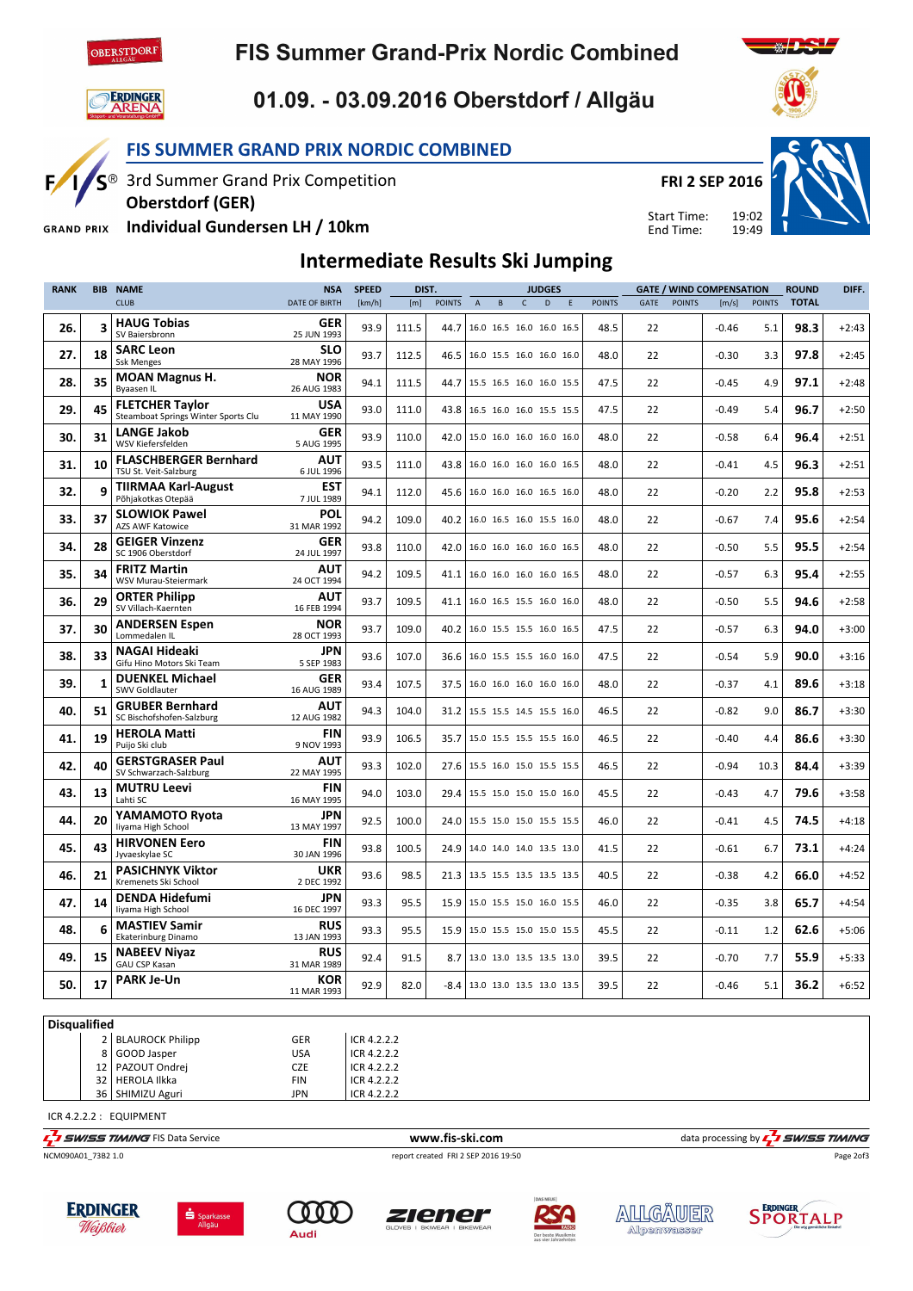

# **FIS Summer Grand-Prix Nordic Combined**



 $F/1/S^{\circledcirc}$ 

# 01.09. - 03.09.2016 Oberstdorf / Allgäu

### FIS SUMMER GRAND PRIX NORDIC COMBINED

3rd Summer Grand Prix Competition

FRI 2 SEP 2016

Start Time: End Time:

19:02 19:49



Individual Gundersen LH / 10km **GRAND PRIX** 

Oberstdorf (GER)

### Intermediate Results Ski Jumping

| <b>RANK</b> | <b>BIB</b>   | <b>NAME</b>                                                   | <b>NSA</b>                | <b>SPEED</b> |       | DIST.         |                                   |                          |              | <b>JUDGES</b> |                          | <b>GATE / WIND COMPENSATION</b> |      |               |         | <b>ROUND</b>  | DIFF.        |         |
|-------------|--------------|---------------------------------------------------------------|---------------------------|--------------|-------|---------------|-----------------------------------|--------------------------|--------------|---------------|--------------------------|---------------------------------|------|---------------|---------|---------------|--------------|---------|
|             |              | <b>CLUB</b>                                                   | <b>DATE OF BIRTH</b>      | [km/h]       | [m]   | <b>POINTS</b> | $\overline{A}$                    | $\sf{B}$                 | $\mathsf{C}$ | D             | E                        | <b>POINTS</b>                   | GATE | <b>POINTS</b> | [m/s]   | <b>POINTS</b> | <b>TOTAL</b> |         |
| 26.         | 3            | <b>HAUG Tobias</b><br>SV Baiersbronn                          | GER<br>25 JUN 1993        | 93.9         | 111.5 | 44.7          |                                   | 16.0 16.5 16.0 16.0 16.5 |              |               |                          | 48.5                            | 22   |               | $-0.46$ | 5.1           | 98.3         | $+2:43$ |
| 27.         | 18           | <b>SARC Leon</b><br><b>Ssk Menges</b>                         | <b>SLO</b><br>28 MAY 1996 | 93.7         | 112.5 | 46.5          | 16.0 15.5 16.0 16.0 16.0          |                          |              |               |                          | 48.0                            | 22   |               | $-0.30$ | 3.3           | 97.8         | $+2:45$ |
| 28.         | 35           | <b>MOAN Magnus H.</b><br>Byaasen IL                           | <b>NOR</b><br>26 AUG 1983 | 94.1         | 111.5 | 44.7          | 15.5 16.5 16.0 16.0 15.5          |                          |              |               |                          | 47.5                            | 22   |               | $-0.45$ | 4.9           | 97.1         | $+2:48$ |
| 29.         | 45           | <b>FLETCHER Taylor</b><br>Steamboat Springs Winter Sports Clu | <b>USA</b><br>11 MAY 1990 | 93.0         | 111.0 |               | 43.8 16.5 16.0 16.0 15.5 15.5     |                          |              |               |                          | 47.5                            | 22   |               | $-0.49$ | 5.4           | 96.7         | $+2:50$ |
| 30.         | 31           | <b>LANGE Jakob</b><br>WSV Kiefersfelden                       | <b>GER</b><br>5 AUG 1995  | 93.9         | 110.0 | 42.0          | 15.0 16.0 16.0 16.0 16.0          |                          |              |               |                          | 48.0                            | 22   |               | $-0.58$ | 6.4           | 96.4         | $+2:51$ |
| 31.         | 10           | <b>FLASCHBERGER Bernhard</b><br>TSU St. Veit-Salzburg         | AUT<br>6 JUL 1996         | 93.5         | 111.0 | 43.8          | 16.0 16.0 16.0 16.0 16.5          |                          |              |               |                          | 48.0                            | 22   |               | $-0.41$ | 4.5           | 96.3         | $+2:51$ |
| 32.         | 9            | <b>TIIRMAA Karl-August</b><br>Põhiakotkas Otepää              | <b>EST</b><br>7 JUL 1989  | 94.1         | 112.0 | 45.6          | 16.0 16.0 16.0 16.5 16.0          |                          |              |               |                          | 48.0                            | 22   |               | $-0.20$ | 2.2           | 95.8         | $+2:53$ |
| 33.         | 37           | <b>SLOWIOK Pawel</b><br><b>AZS AWF Katowice</b>               | <b>POL</b><br>31 MAR 1992 | 94.2         | 109.0 | 40.2          | 16.0 16.5 16.0 15.5 16.0          |                          |              |               |                          | 48.0                            | 22   |               | $-0.67$ | 7.4           | 95.6         | $+2:54$ |
| 34.         | 28           | <b>GEIGER Vinzenz</b><br>SC 1906 Oberstdorf                   | <b>GER</b><br>24 JUL 1997 | 93.8         | 110.0 | 42.0          | 16.0 16.0 16.0 16.0 16.5          |                          |              |               |                          | 48.0                            | 22   |               | $-0.50$ | 5.5           | 95.5         | $+2:54$ |
| 35.         | 34           | <b>FRITZ Martin</b><br>WSV Murau-Steiermark                   | AUT<br>24 OCT 1994        | 94.2         | 109.5 | 41.1          | 16.0 16.0 16.0 16.0 16.5          |                          |              |               |                          | 48.0                            | 22   |               | $-0.57$ | 6.3           | 95.4         | $+2:55$ |
| 36.         | 29           | <b>ORTER Philipp</b><br>SV Villach-Kaernten                   | AUT<br>16 FEB 1994        | 93.7         | 109.5 | 41.1          |                                   |                          |              |               | 16.0 16.5 15.5 16.0 16.0 | 48.0                            | 22   |               | $-0.50$ | 5.5           | 94.6         | $+2:58$ |
| 37.         | 30           | <b>ANDERSEN Espen</b><br>Lommedalen IL                        | <b>NOR</b><br>28 OCT 1993 | 93.7         | 109.0 | 40.2          | 16.0 15.5 15.5 16.0 16.5          |                          |              |               |                          | 47.5                            | 22   |               | $-0.57$ | 6.3           | 94.0         | $+3:00$ |
| 38.         | 33           | <b>NAGAI Hideaki</b><br>Gifu Hino Motors Ski Team             | <b>JPN</b><br>5 SEP 1983  | 93.6         | 107.0 | 36.6          | 16.0 15.5 15.5 16.0 16.0          |                          |              |               |                          | 47.5                            | 22   |               | $-0.54$ | 5.9           | 90.0         | $+3:16$ |
| 39.         | $\mathbf{1}$ | <b>DUENKEL Michael</b><br>SWV Goldlauter                      | GER<br>16 AUG 1989        | 93.4         | 107.5 | 37.5          | 16.0 16.0 16.0 16.0 16.0          |                          |              |               |                          | 48.0                            | 22   |               | $-0.37$ | 4.1           | 89.6         | $+3:18$ |
| 40.         | 51           | <b>GRUBER Bernhard</b><br>SC Bischofshofen-Salzburg           | AUT<br>12 AUG 1982        | 94.3         | 104.0 | 31.2          | 15.5 15.5 14.5 15.5 16.0          |                          |              |               |                          | 46.5                            | 22   |               | $-0.82$ | 9.0           | 86.7         | $+3:30$ |
| 41.         | 19           | <b>HEROLA Matti</b><br>Puijo Ski club                         | <b>FIN</b><br>9 NOV 1993  | 93.9         | 106.5 | 35.7          | 15.0 15.5 15.5 15.5 16.0          |                          |              |               |                          | 46.5                            | 22   |               | $-0.40$ | 4.4           | 86.6         | $+3:30$ |
| 42.         | 40           | <b>GERSTGRASER Paul</b><br>SV Schwarzach-Salzburg             | <b>AUT</b><br>22 MAY 1995 | 93.3         | 102.0 | 27.6          | 15.5 16.0 15.0 15.5 15.5          |                          |              |               |                          | 46.5                            | 22   |               | $-0.94$ | 10.3          | 84.4         | $+3:39$ |
| 43.         | 13           | <b>MUTRU Leevi</b><br>Lahti SC                                | <b>FIN</b><br>16 MAY 1995 | 94.0         | 103.0 | 29.4          | 15.5 15.0 15.0 15.0 16.0          |                          |              |               |                          | 45.5                            | 22   |               | $-0.43$ | 4.7           | 79.6         | $+3:58$ |
| 44.         | 20           | YAMAMOTO Ryota<br>liyama High School                          | JPN<br>13 MAY 1997        | 92.5         | 100.0 | 24.0          | 15.5 15.0 15.0 15.5 15.5          |                          |              |               |                          | 46.0                            | 22   |               | $-0.41$ | 4.5           | 74.5         | $+4:18$ |
| 45.         | 43           | <b>HIRVONEN Eero</b><br>Jyvaeskylae SC                        | <b>FIN</b><br>30 JAN 1996 | 93.8         | 100.5 | 24.9          | 14.0 14.0 14.0 13.5 13.0          |                          |              |               |                          | 41.5                            | 22   |               | $-0.61$ | 6.7           | 73.1         | $+4:24$ |
| 46.         | 21           | <b>PASICHNYK Viktor</b><br>Kremenets Ski School               | UKR<br>2 DEC 1992         | 93.6         | 98.5  | 21.3          | 13.5 15.5 13.5 13.5 13.5          |                          |              |               |                          | 40.5                            | 22   |               | $-0.38$ | 4.2           | 66.0         | $+4:52$ |
| 47.         | 14           | <b>DENDA Hidefumi</b><br>liyama High School                   | <b>JPN</b><br>16 DEC 1997 | 93.3         | 95.5  | 15.9          | 15.0 15.5 15.0 16.0 15.5          |                          |              |               |                          | 46.0                            | 22   |               | $-0.35$ | 3.8           | 65.7         | $+4:54$ |
| 48.         | 6            | <b>MASTIEV Samir</b><br>Ekaterinburg Dinamo                   | <b>RUS</b><br>13 JAN 1993 | 93.3         | 95.5  | 15.9          | 15.0 15.5 15.0 15.0 15.5          |                          |              |               |                          | 45.5                            | 22   |               | $-0.11$ | 1.2           | 62.6         | $+5:06$ |
| 49.         | 15           | <b>NABEEV Niyaz</b><br><b>GAU CSP Kasan</b>                   | <b>RUS</b><br>31 MAR 1989 | 92.4         | 91.5  | 8.7           | 13.0 13.0 13.5 13.5 13.0          |                          |              |               |                          | 39.5                            | 22   |               | $-0.70$ | 7.7           | 55.9         | $+5:33$ |
| 50.         | 17           | <b>PARK Je-Un</b>                                             | <b>KOR</b><br>11 MAR 1993 | 92.9         | 82.0  |               | $-8.4$   13.0 13.0 13.5 13.0 13.5 |                          |              |               |                          | 39.5                            | 22   |               | $-0.46$ | 5.1           | 36.2         | $+6:52$ |

#### **Disqualified**

|  | 2 BLAUROCK Philipp | GER        | ICR 4.2.2.2  |
|--|--------------------|------------|--------------|
|  | 8 GOOD Jasper      | <b>USA</b> | LICR 4.2.2.2 |
|  | 12   PAZOUT Ondrej | <b>CZE</b> | ICR 4.2.2.2  |
|  | 32 HEROLA Ilkka    | <b>FIN</b> | LICR 4.2.2.2 |
|  | 36   SHIMIZU Aguri | JPN        | ICR 4.2.2.2  |
|  |                    |            |              |

ICR 4.2.2.2 : EQUIPMENT

NCM090A01\_73B2 1.0 report created FRI 2 SEP 2016 19:50



The same of the service www.fis-ski.com data processing by  $\frac{1}{4}$  SWISS TIMING















Page 2of3